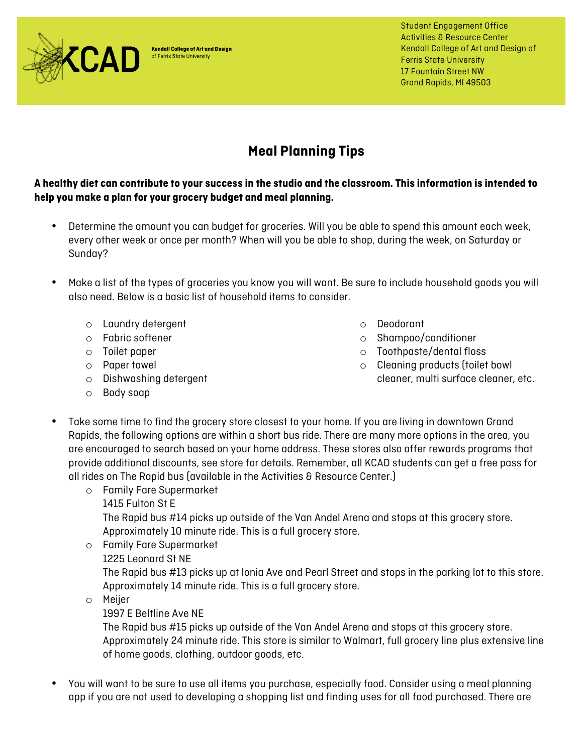

**Kendall College of Art and Design** of Ferris State University

Student Engagement Office Activities & Resource Center Kendall College of Art and Design of Ferris State University 17 Fountain Street NW Grand Rapids, MI 49503

## **Meal Planning Tips**

**A healthy diet can contribute to your success in the studio and the classroom. This information is intended to help you make a plan for your grocery budget and meal planning.** 

- Determine the amount you can budget for groceries. Will you be able to spend this amount each week, every other week or once per month? When will you be able to shop, during the week, on Saturday or Sunday?
- Make a list of the types of groceries you know you will want. Be sure to include household goods you will also need. Below is a basic list of household items to consider.
	- o Laundry detergent
	- o Fabric softener
	- o Toilet paper
	- o Paper towel
	- o Dishwashing detergent
	- o Body soap
- o Deodorant
- o Shampoo/conditioner
- o Toothpaste/dental floss
- o Cleaning products (toilet bowl cleaner, multi surface cleaner, etc.
- Take some time to find the grocery store closest to your home. If you are living in downtown Grand Rapids, the following options are within a short bus ride. There are many more options in the area, you are encouraged to search based on your home address. These stores also offer rewards programs that provide additional discounts, see store for details. Remember, all KCAD students can get a free pass for all rides on The Rapid bus (available in the Activities & Resource Center.)
	- o Family Fare Supermarket
		- 1415 Fulton St E

The Rapid bus #14 picks up outside of the Van Andel Arena and stops at this grocery store. Approximately 10 minute ride. This is a full grocery store.

- o Family Fare Supermarket
	- 1225 Leonard St NE

The Rapid bus #13 picks up at Ionia Ave and Pearl Street and stops in the parking lot to this store. Approximately 14 minute ride. This is a full grocery store.

- o Meijer
	- 1997 E Beltline Ave NE

The Rapid bus #15 picks up outside of the Van Andel Arena and stops at this grocery store. Approximately 24 minute ride. This store is similar to Walmart, full grocery line plus extensive line of home goods, clothing, outdoor goods, etc.

• You will want to be sure to use all items you purchase, especially food. Consider using a meal planning app if you are not used to developing a shopping list and finding uses for all food purchased. There are